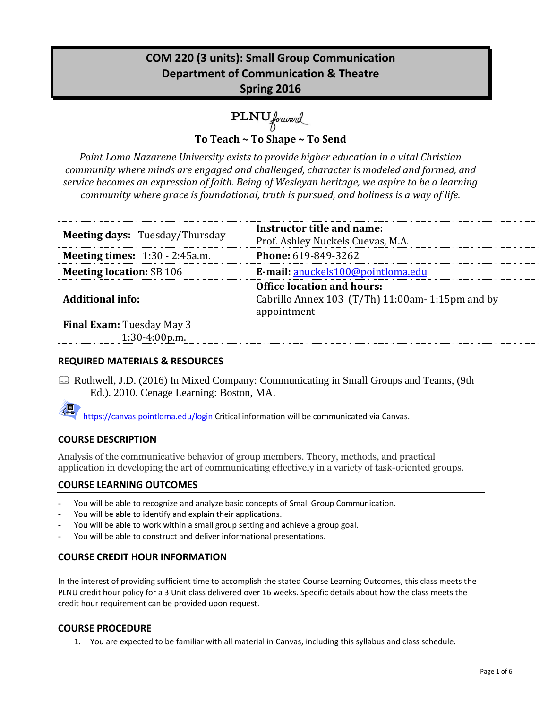# **COM 220 (3 units): Small Group Communication Department of Communication & Theatre Spring 2016**

PLNU forward

**To Teach ~ To Shape ~ To Send**

*Point Loma Nazarene University exists to provide higher education in a vital Christian community where minds are engaged and challenged, character is modeled and formed, and service becomes an expression of faith. Being of Wesleyan heritage, we aspire to be a learning community where grace is foundational, truth is pursued, and holiness is a way of life.*

| <b>Meeting days: Tuesday/Thursday</b>               | Instructor title and name:<br>Prof. Ashley Nuckels Cuevas, M.A.                                      |
|-----------------------------------------------------|------------------------------------------------------------------------------------------------------|
| <b>Meeting times:</b> $1:30 - 2:45a.m.$             | <b>Phone: 619-849-3262</b>                                                                           |
| <b>Meeting location: SB 106</b>                     | E-mail: anuckels100@pointloma.edu                                                                    |
| <b>Additional info:</b>                             | <b>Office location and hours:</b><br>Cabrillo Annex 103 (T/Th) 11:00am- 1:15pm and by<br>appointment |
| <b>Final Exam:</b> Tuesday May 3<br>$1:30-4:00p.m.$ |                                                                                                      |

# **REQUIRED MATERIALS & RESOURCES**

 Rothwell, J.D. (2016) In Mixed Company: Communicating in Small Groups and Teams, (9th Ed.). 2010. Cenage Learning: Boston, MA.

https://canvas.pointloma.edu/login Critical information will be communicated via Canvas.

# **COURSE DESCRIPTION**

Analysis of the communicative behavior of group members. Theory, methods, and practical application in developing the art of communicating effectively in a variety of task-oriented groups.

# **COURSE LEARNING OUTCOMES**

- You will be able to recognize and analyze basic concepts of Small Group Communication.
- You will be able to identify and explain their applications.
- You will be able to work within a small group setting and achieve a group goal.
- You will be able to construct and deliver informational presentations.

### **COURSE CREDIT HOUR INFORMATION**

In the interest of providing sufficient time to accomplish the stated Course Learning Outcomes, this class meets the PLNU credit hour policy for a 3 Unit class delivered over 16 weeks. Specific details about how the class meets the credit hour requirement can be provided upon request.

### **COURSE PROCEDURE**

1. You are expected to be familiar with all material in Canvas, including this syllabus and class schedule.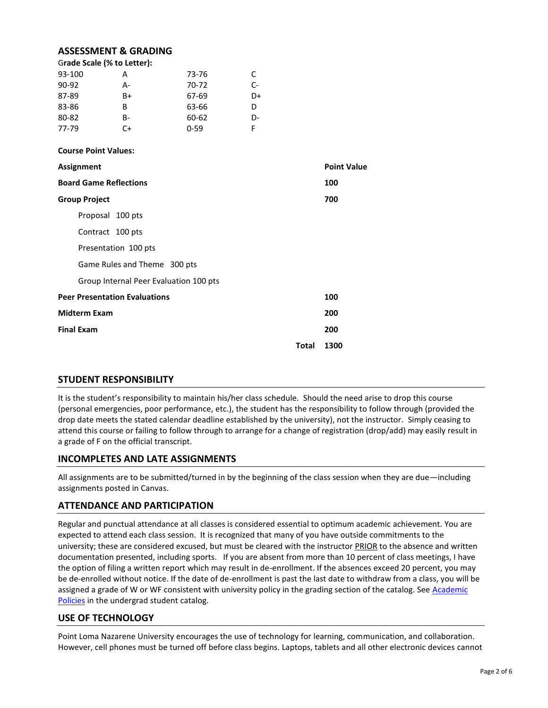### **ASSESSMENT & GRADING**

|         | Grade Scale (% to Letter): |          |    |
|---------|----------------------------|----------|----|
| 93-100  | А                          | 73-76    | C  |
| $90-92$ | А-                         | 70-72    | C- |
| 87-89   | B+                         | 67-69    | D+ |
| 83-86   | B                          | 63-66    | D  |
| 80-82   | B-                         | 60-62    | D- |
| 77-79   | C+                         | $0 - 59$ |    |

#### **Course Point Values:**

| Assignment                             |       | <b>Point Value</b> |
|----------------------------------------|-------|--------------------|
| <b>Board Game Reflections</b>          |       | 100                |
| <b>Group Project</b>                   |       | 700                |
| Proposal 100 pts                       |       |                    |
| Contract 100 pts                       |       |                    |
| Presentation 100 pts                   |       |                    |
| Game Rules and Theme 300 pts           |       |                    |
| Group Internal Peer Evaluation 100 pts |       |                    |
| <b>Peer Presentation Evaluations</b>   |       | 100                |
| <b>Midterm Exam</b>                    |       | 200                |
| <b>Final Exam</b>                      |       | 200                |
|                                        | Total | 1300               |

### **STUDENT RESPONSIBILITY**

It is the student's responsibility to maintain his/her class schedule. Should the need arise to drop this course (personal emergencies, poor performance, etc.), the student has the responsibility to follow through (provided the drop date meets the stated calendar deadline established by the university), not the instructor. Simply ceasing to attend this course or failing to follow through to arrange for a change of registration (drop/add) may easily result in a grade of F on the official transcript.

### **INCOMPLETES AND LATE ASSIGNMENTS**

All assignments are to be submitted/turned in by the beginning of the class session when they are due—including assignments posted in Canvas.

### **ATTENDANCE AND PARTICIPATION**

Regular and punctual attendance at all classes is considered essential to optimum academic achievement. You are expected to attend each class session. It is recognized that many of you have outside commitments to the university; these are considered excused, but must be cleared with the instructor PRIOR to the absence and written documentation presented, including sports. If you are absent from more than 10 percent of class meetings, I have the option of filing a written report which may result in de-enrollment. If the absences exceed 20 percent, you may be de-enrolled without notice. If the date of de-enrollment is past the last date to withdraw from a class, you will be assigned a grade of W or WF consistent with university policy in the grading section of the catalog. See Academic [Policies](http://www.pointloma.edu/experience/academics/catalogs/undergraduate-catalog/point-loma-education/academic-policies) in the undergrad student catalog.

### **USE OF TECHNOLOGY**

Point Loma Nazarene University encourages the use of technology for learning, communication, and collaboration. However, cell phones must be turned off before class begins. Laptops, tablets and all other electronic devices cannot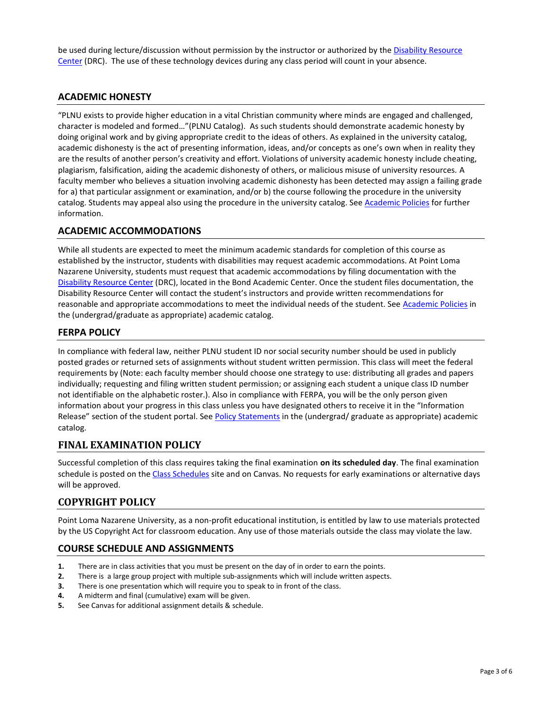be used during lecture/discussion without permission by the instructor or authorized by the [Disability Resource](http://www.pointloma.edu/experience/offices/administrative-offices/academic-advising-office/disability-resource-center)  [Center](http://www.pointloma.edu/experience/offices/administrative-offices/academic-advising-office/disability-resource-center) (DRC). The use of these technology devices during any class period will count in your absence.

### **ACADEMIC HONESTY**

"PLNU exists to provide higher education in a vital Christian community where minds are engaged and challenged, character is modeled and formed…"(PLNU Catalog). As such students should demonstrate academic honesty by doing original work and by giving appropriate credit to the ideas of others. As explained in the university catalog, academic dishonesty is the act of presenting information, ideas, and/or concepts as one's own when in reality they are the results of another person's creativity and effort. Violations of university academic honesty include cheating, plagiarism, falsification, aiding the academic dishonesty of others, or malicious misuse of university resources. A faculty member who believes a situation involving academic dishonesty has been detected may assign a failing grade for a) that particular assignment or examination, and/or b) the course following the procedure in the university catalog. Students may appeal also using the procedure in the university catalog. Se[e Academic Policies](http://www.pointloma.edu/experience/academics/catalogs/undergraduate-catalog/point-loma-education/academic-policies) for further information.

# **ACADEMIC ACCOMMODATIONS**

While all students are expected to meet the minimum academic standards for completion of this course as established by the instructor, students with disabilities may request academic accommodations. At Point Loma Nazarene University, students must request that academic accommodations by filing documentation with the [Disability Resource Center](http://www.pointloma.edu/experience/offices/administrative-offices/academic-advising-office/disability-resource-center) (DRC), located in the Bond Academic Center. Once the student files documentation, the Disability Resource Center will contact the student's instructors and provide written recommendations for reasonable and appropriate accommodations to meet the individual needs of the student. See [Academic Policies](http://www.pointloma.edu/experience/academics/catalogs/undergraduate-catalog/point-loma-education/academic-policies) in the (undergrad/graduate as appropriate) academic catalog.

# **FERPA POLICY**

In compliance with federal law, neither PLNU student ID nor social security number should be used in publicly posted grades or returned sets of assignments without student written permission. This class will meet the federal requirements by (Note: each faculty member should choose one strategy to use: distributing all grades and papers individually; requesting and filing written student permission; or assigning each student a unique class ID number not identifiable on the alphabetic roster.). Also in compliance with FERPA, you will be the only person given information about your progress in this class unless you have designated others to receive it in the "Information Release" section of the student portal. See [Policy Statements](http://www.pointloma.edu/experience/academics/catalogs/undergraduate-catalog/policy-statements) in the (undergrad/ graduate as appropriate) academic catalog.

# **FINAL EXAMINATION POLICY**

Successful completion of this class requires taking the final examination **on its scheduled day**. The final examination schedule is posted on th[e Class Schedules](http://www.pointloma.edu/experience/academics/class-schedules) site and on Canvas. No requests for early examinations or alternative days will be approved.

# **COPYRIGHT POLICY**

Point Loma Nazarene University, as a non-profit educational institution, is entitled by law to use materials protected by the US Copyright Act for classroom education. Any use of those materials outside the class may violate the law.

### **COURSE SCHEDULE AND ASSIGNMENTS**

- **1.** There are in class activities that you must be present on the day of in order to earn the points.
- **2.** There is a large group project with multiple sub-assignments which will include written aspects.
- **3.** There is one presentation which will require you to speak to in front of the class.
- **4.** A midterm and final (cumulative) exam will be given.
- **5.** See Canvas for additional assignment details & schedule.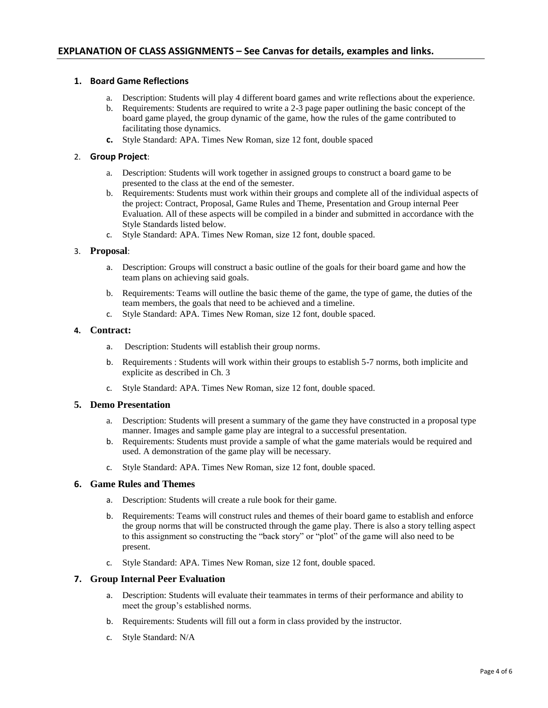### **1. Board Game Reflections**

- a. Description: Students will play 4 different board games and write reflections about the experience.
- b. Requirements: Students are required to write a 2-3 page paper outlining the basic concept of the board game played, the group dynamic of the game, how the rules of the game contributed to facilitating those dynamics.
- **c.** Style Standard: APA. Times New Roman, size 12 font, double spaced

### 2. **Group Project**:

- a. Description: Students will work together in assigned groups to construct a board game to be presented to the class at the end of the semester.
- b. Requirements: Students must work within their groups and complete all of the individual aspects of the project: Contract, Proposal, Game Rules and Theme, Presentation and Group internal Peer Evaluation. All of these aspects will be compiled in a binder and submitted in accordance with the Style Standards listed below.
- c. Style Standard: APA. Times New Roman, size 12 font, double spaced.

### 3. **Proposal**:

- a. Description: Groups will construct a basic outline of the goals for their board game and how the team plans on achieving said goals.
- b. Requirements: Teams will outline the basic theme of the game, the type of game, the duties of the team members, the goals that need to be achieved and a timeline.
- c. Style Standard: APA. Times New Roman, size 12 font, double spaced.

#### **4. Contract:**

- a. Description: Students will establish their group norms.
- b. Requirements : Students will work within their groups to establish 5-7 norms, both implicite and explicite as described in Ch. 3
- c. Style Standard: APA. Times New Roman, size 12 font, double spaced.

### **5. Demo Presentation**

- a. Description: Students will present a summary of the game they have constructed in a proposal type manner. Images and sample game play are integral to a successful presentation.
- b. Requirements: Students must provide a sample of what the game materials would be required and used. A demonstration of the game play will be necessary.
- c. Style Standard: APA. Times New Roman, size 12 font, double spaced.

### **6. Game Rules and Themes**

- a. Description: Students will create a rule book for their game.
- b. Requirements: Teams will construct rules and themes of their board game to establish and enforce the group norms that will be constructed through the game play. There is also a story telling aspect to this assignment so constructing the "back story" or "plot" of the game will also need to be present.
- c. Style Standard: APA. Times New Roman, size 12 font, double spaced.

### **7. Group Internal Peer Evaluation**

- a. Description: Students will evaluate their teammates in terms of their performance and ability to meet the group's established norms.
- b. Requirements: Students will fill out a form in class provided by the instructor.
- c. Style Standard: N/A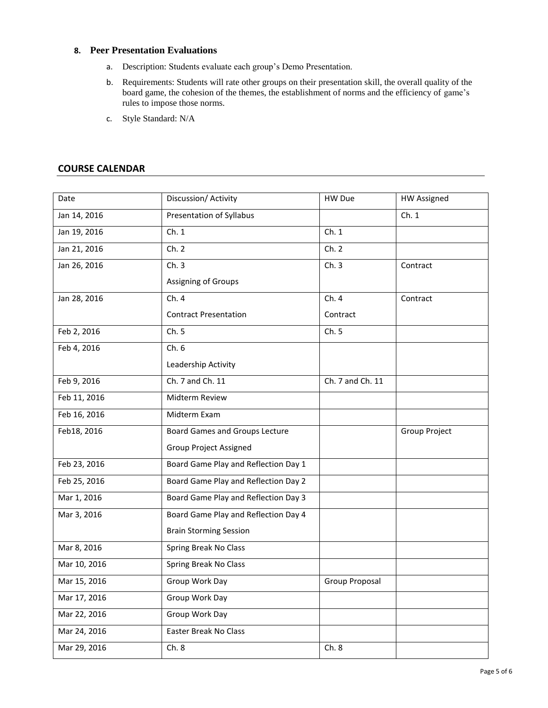### **8. Peer Presentation Evaluations**

- a. Description: Students evaluate each group's Demo Presentation.
- b. Requirements: Students will rate other groups on their presentation skill, the overall quality of the board game, the cohesion of the themes, the establishment of norms and the efficiency of game's rules to impose those norms.
- c. Style Standard: N/A

# **COURSE CALENDAR**

| Date         | Discussion/ Activity                  | HW Due           | <b>HW Assigned</b> |
|--------------|---------------------------------------|------------------|--------------------|
| Jan 14, 2016 | Presentation of Syllabus              |                  | Ch.1               |
| Jan 19, 2016 | Ch.1                                  | Ch.1             |                    |
| Jan 21, 2016 | Ch. 2                                 | Ch. 2            |                    |
| Jan 26, 2016 | Ch.3                                  | Ch.3             | Contract           |
|              | Assigning of Groups                   |                  |                    |
| Jan 28, 2016 | Ch.4                                  | Ch. 4            | Contract           |
|              | <b>Contract Presentation</b>          | Contract         |                    |
| Feb 2, 2016  | Ch.5                                  | Ch. 5            |                    |
| Feb 4, 2016  | Ch.6                                  |                  |                    |
|              | Leadership Activity                   |                  |                    |
| Feb 9, 2016  | Ch. 7 and Ch. 11                      | Ch. 7 and Ch. 11 |                    |
| Feb 11, 2016 | Midterm Review                        |                  |                    |
| Feb 16, 2016 | Midterm Exam                          |                  |                    |
| Feb18, 2016  | <b>Board Games and Groups Lecture</b> |                  | Group Project      |
|              | <b>Group Project Assigned</b>         |                  |                    |
| Feb 23, 2016 | Board Game Play and Reflection Day 1  |                  |                    |
| Feb 25, 2016 | Board Game Play and Reflection Day 2  |                  |                    |
| Mar 1, 2016  | Board Game Play and Reflection Day 3  |                  |                    |
| Mar 3, 2016  | Board Game Play and Reflection Day 4  |                  |                    |
|              | <b>Brain Storming Session</b>         |                  |                    |
| Mar 8, 2016  | Spring Break No Class                 |                  |                    |
| Mar 10, 2016 | Spring Break No Class                 |                  |                    |
| Mar 15, 2016 | Group Work Day                        | Group Proposal   |                    |
| Mar 17, 2016 | Group Work Day                        |                  |                    |
| Mar 22, 2016 | Group Work Day                        |                  |                    |
| Mar 24, 2016 | Easter Break No Class                 |                  |                    |
| Mar 29, 2016 | Ch.8                                  | Ch.8             |                    |